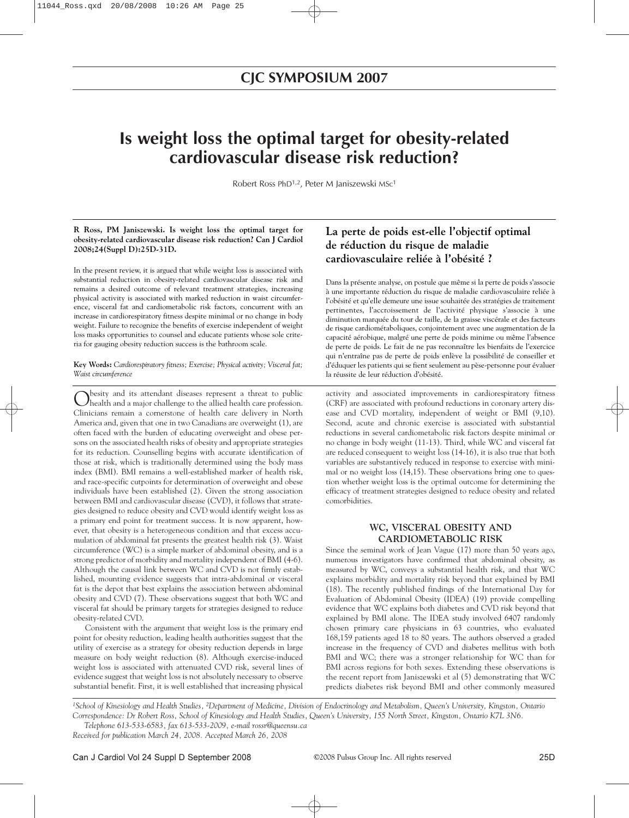# Is weight loss the optimal target for obesity-related cardiovascular disease risk reduction?

Robert Ross PhD1,2, Peter M Janiszewski MSc1

#### R Ross, PM Janiszewski. Is weight loss the optimal target for obesity-related cardiovascular disease risk reduction? Can J Cardiol 2008;24(Suppl D):25D-31D.

In the present review, it is argued that while weight loss is associated with substantial reduction in obesity-related cardiovascular disease risk and remains a desired outcome of relevant treatment strategies, increasing physical activity is associated with marked reduction in waist circumference, visceral fat and cardiometabolic risk factors, concurrent with an increase in cardiorespiratory fitness despite minimal or no change in body weight. Failure to recognize the benefits of exercise independent of weight loss masks opportunities to counsel and educate patients whose sole criteria for gauging obesity reduction success is the bathroom scale.

#### Key Words: Cardiorespiratory fitness; Exercise; Physical activity; Visceral fat; Waist circumference

Obesity and its attendant diseases represent a threat to public health and a major challenge to the allied health care profession. Clinicians remain a cornerstone of health care delivery in North America and, given that one in two Canadians are overweight (1), are often faced with the burden of educating overweight and obese persons on the associated health risks of obesity and appropriate strategies for its reduction. Counselling begins with accurate identification of those at risk, which is traditionally determined using the body mass index (BMI). BMI remains a well-established marker of health risk, and race-specific cutpoints for determination of overweight and obese individuals have been established (2). Given the strong association between BMI and cardiovascular disease (CVD), it follows that strategies designed to reduce obesity and CVD would identify weight loss as a primary end point for treatment success. It is now apparent, however, that obesity is a heterogeneous condition and that excess accumulation of abdominal fat presents the greatest health risk (3). Waist circumference (WC) is a simple marker of abdominal obesity, and is a strong predictor of morbidity and mortality independent of BMI (4-6). Although the causal link between WC and CVD is not firmly established, mounting evidence suggests that intra-abdominal or visceral fat is the depot that best explains the association between abdominal obesity and CVD (7). These observations suggest that both WC and visceral fat should be primary targets for strategies designed to reduce obesity-related CVD.

Consistent with the argument that weight loss is the primary end point for obesity reduction, leading health authorities suggest that the utility of exercise as a strategy for obesity reduction depends in large measure on body weight reduction (8). Although exercise-induced weight loss is associated with attenuated CVD risk, several lines of evidence suggest that weight loss is not absolutely necessary to observe substantial benefit. First, it is well established that increasing physical

## La perte de poids est-elle l'objectif optimal de réduction du risque de maladie cardiovasculaire reliée à l'obésité ?

Dans la présente analyse, on postule que même si la perte de poids s'associe à une importante réduction du risque de maladie cardiovasculaire reliée à l'obésité et qu'elle demeure une issue souhaitée des stratégies de traitement pertinentes, l'accroissement de l'activité physique s'associe à une diminution marquée du tour de taille, de la graisse viscérale et des facteurs de risque cardiométaboliques, conjointement avec une augmentation de la capacité aérobique, malgré une perte de poids minime ou même l'absence de perte de poids. Le fait de ne pas reconnaître les bienfaits de l'exercice qui n'entraîne pas de perte de poids enlève la possibilité de conseiller et d'éduquer les patients qui se fient seulement au pèse-personne pour évaluer la réussite de leur réduction d'obésité.

activity and associated improvements in cardiorespiratory fitness (CRF) are associated with profound reductions in coronary artery disease and CVD mortality, independent of weight or BMI (9,10). Second, acute and chronic exercise is associated with substantial reductions in several cardiometabolic risk factors despite minimal or no change in body weight (11-13). Third, while WC and visceral fat are reduced consequent to weight loss (14-16), it is also true that both variables are substantively reduced in response to exercise with minimal or no weight loss (14,15). These observations bring one to question whether weight loss is the optimal outcome for determining the efficacy of treatment strategies designed to reduce obesity and related comorbidities.

### WC, VISCERAL OBESITY AND CARDIOMETABOLIC RISK

Since the seminal work of Jean Vague (17) more than 50 years ago, numerous investigators have confirmed that abdominal obesity, as measured by WC, conveys a substantial health risk, and that WC explains morbidity and mortality risk beyond that explained by BMI (18). The recently published findings of the International Day for Evaluation of Abdominal Obesity (IDEA) (19) provide compelling evidence that WC explains both diabetes and CVD risk beyond that explained by BMI alone. The IDEA study involved 6407 randomly chosen primary care physicians in 63 countries, who evaluated 168,159 patients aged 18 to 80 years. The authors observed a graded increase in the frequency of CVD and diabetes mellitus with both BMI and WC; there was a stronger relationship for WC than for BMI across regions for both sexes. Extending these observations is the recent report from Janiszewski et al (5) demonstrating that WC predicts diabetes risk beyond BMI and other commonly measured

1School of Kinesiology and Health Studies, 2Department of Medicine, Division of Endocrinology and Metabolism, Queen's University, Kingston, Ontario Correspondence: Dr Robert Ross, School of Kinesiology and Health Studies, Queen's University, 155 North Street, Kingston, Ontario K7L 3N6. Telephone 613-533-6583, fax 613-533-2009, e-mail rossr@queensu.ca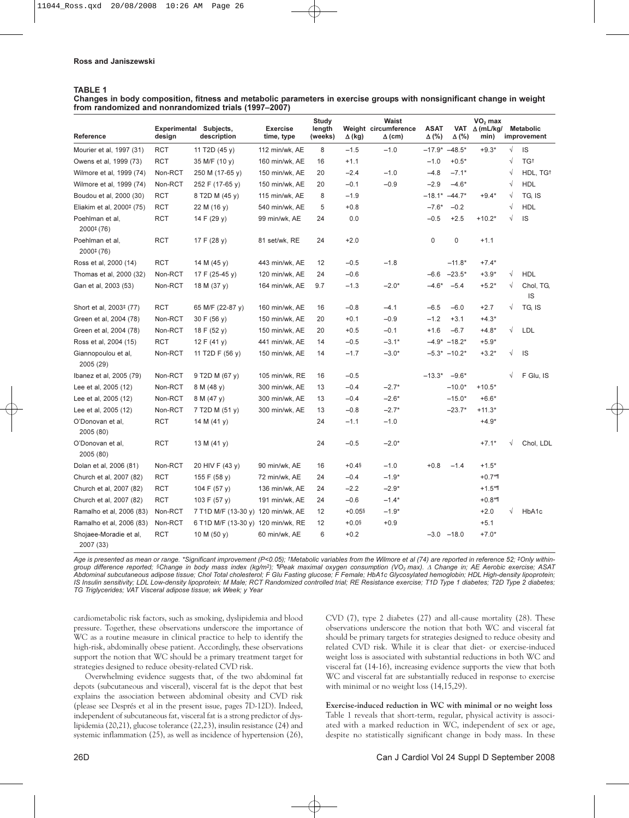#### TABLE 1

Changes in body composition, fitness and metabolic parameters in exercise groups with nonsignificant change in weight from randomized and nonrandomized trials (1997–2007)

| Reference                           | design     | Experimental Subjects,<br>description | <b>Exercise</b><br>time, type | <b>Study</b><br>length<br>(weeks) | $\Delta$ (kg) | Waist<br>Weight circumference<br>$\Delta$ (cm) | <b>ASAT</b><br>Δ (%) | VAT<br>$\Delta$ (%) | $VO2$ max<br>$\Delta$ (mL/kg/<br>min) |            | <b>Metabolic</b><br>improvement |
|-------------------------------------|------------|---------------------------------------|-------------------------------|-----------------------------------|---------------|------------------------------------------------|----------------------|---------------------|---------------------------------------|------------|---------------------------------|
| Mourier et al, 1997 (31)            | <b>RCT</b> | 11 T2D (45 y)                         | 112 min/wk, AE                | 8                                 | $-1.5$        | $-1.0$                                         | $-17.9* -48.5*$      |                     | $+9.3*$                               | $\sqrt{}$  | IS                              |
| Owens et al, 1999 (73)              | <b>RCT</b> | 35 M/F (10 y)                         | 160 min/wk, AE                | 16                                | $+1.1$        |                                                | $-1.0$               | $+0.5*$             |                                       | $\sqrt{}$  | TG <sup>+</sup>                 |
| Wilmore et al, 1999 (74)            | Non-RCT    | 250 M (17-65 y)                       | 150 min/wk, AE                | 20                                | $-2.4$        | $-1.0$                                         | $-4.8$               | $-7.1*$             |                                       | $\sqrt{}$  | HDL, TG <sup>+</sup>            |
| Wilmore et al, 1999 (74)            | Non-RCT    | 252 F (17-65 y)                       | 150 min/wk, AE                | 20                                | $-0.1$        | $-0.9$                                         | $-2.9$               | $-4.6*$             |                                       | $\sqrt{}$  | <b>HDL</b>                      |
| Boudou et al, 2000 (30)             | <b>RCT</b> | 8 T2D M (45 y)                        | 115 min/wk, AE                | 8                                 | $-1.9$        |                                                | $-18.1* -44.7*$      |                     | $+9.4*$                               | $\sqrt{}$  | TG. IS                          |
| Eliakim et al, 2000# (75)           | <b>RCT</b> | 22 M (16 y)                           | 540 min/wk, AE                | 5                                 | $+0.8$        |                                                | $-7.6*$              | $-0.2$              |                                       | $\sqrt{}$  | <b>HDL</b>                      |
| Poehlman et al,<br>2000# (76)       | <b>RCT</b> | 14 F (29 y)                           | 99 min/wk, AE                 | 24                                | 0.0           |                                                | $-0.5$               | $+2.5$              | $+10.2*$                              | $\sqrt{}$  | IS                              |
| Poehlman et al,<br>2000# (76)       | <b>RCT</b> | 17 F (28 y)                           | 81 set/wk, RE                 | 24                                | $+2.0$        |                                                | 0                    | 0                   | $+1.1$                                |            |                                 |
| Ross et al, 2000 (14)               | RCT        | 14 M (45 y)                           | 443 min/wk, AE                | 12                                | $-0.5$        | $-1.8$                                         |                      | $-11.8*$            | $+7.4*$                               |            |                                 |
| Thomas et al, 2000 (32)             | Non-RCT    | 17 F (25-45 y)                        | 120 min/wk, AE                | 24                                | $-0.6$        |                                                |                      | $-6.6 -23.5*$       | $+3.9*$                               | $\sqrt{}$  | <b>HDL</b>                      |
| Gan et al, 2003 (53)                | Non-RCT    | 18 M (37 y)                           | 164 min/wk, AE                | 9.7                               | $-1.3$        | $-2.0*$                                        | $-4.6*$              | $-5.4$              | $+5.2*$                               | $\sqrt{ }$ | Chol, TG,<br>IS                 |
| Short et al, 2003 <sup>‡</sup> (77) | <b>RCT</b> | 65 M/F (22-87 y)                      | 160 min/wk, AE                | 16                                | $-0.8$        | $-4.1$                                         | $-6.5$               | $-6.0$              | $+2.7$                                | $\sqrt{ }$ | TG, IS                          |
| Green et al, 2004 (78)              | Non-RCT    | 30 F (56 y)                           | 150 min/wk, AE                | 20                                | $+0.1$        | $-0.9$                                         | $-1.2$               | $+3.1$              | $+4.3*$                               |            |                                 |
| Green et al, 2004 (78)              | Non-RCT    | 18 F (52 y)                           | 150 min/wk, AE                | 20                                | $+0.5$        | $-0.1$                                         | $+1.6$               | $-6.7$              | $+4.8*$                               | $\sqrt{ }$ | LDL                             |
| Ross et al, 2004 (15)               | <b>RCT</b> | 12 F (41 y)                           | 441 min/wk, AE                | 14                                | $-0.5$        | $-3.1*$                                        |                      | $-4.9* -18.2*$      | $+5.9*$                               |            |                                 |
| Giannopoulou et al,<br>2005 (29)    | Non-RCT    | 11 T2D F (56 y)                       | 150 min/wk, AE                | 14                                | $-1.7$        | $-3.0*$                                        |                      | $-5.3$ $-10.2$ *    | $+3.2*$                               | $\sqrt{}$  | IS                              |
| Ibanez et al, 2005 (79)             | Non-RCT    | 9 T2D M (67 y)                        | 105 min/wk, RE                | 16                                | $-0.5$        |                                                | $-13.3*$             | $-9.6*$             |                                       | $\sqrt{}$  | F Glu, IS                       |
| Lee et al, 2005 (12)                | Non-RCT    | 8 M (48 y)                            | 300 min/wk, AE                | 13                                | $-0.4$        | $-2.7*$                                        |                      | $-10.0*$            | $+10.5*$                              |            |                                 |
| Lee et al, 2005 (12)                | Non-RCT    | 8 M (47 y)                            | 300 min/wk, AE                | 13                                | $-0.4$        | $-2.6*$                                        |                      | $-15.0*$            | $+6.6*$                               |            |                                 |
| Lee et al, 2005 (12)                | Non-RCT    | 7 T2D M (51 y)                        | 300 min/wk, AE                | 13                                | $-0.8$        | $-2.7*$                                        |                      | $-23.7*$            | $+11.3*$                              |            |                                 |
| O'Donovan et al.<br>2005 (80)       | <b>RCT</b> | 14 M (41 y)                           |                               | 24                                | $-1.1$        | $-1.0$                                         |                      |                     | $+4.9*$                               |            |                                 |
| O'Donovan et al,<br>2005 (80)       | RCT        | 13 M (41 y)                           |                               | 24                                | $-0.5$        | $-2.0*$                                        |                      |                     | $+7.1*$                               | V          | Chol, LDL                       |
| Dolan et al, 2006 (81)              | Non-RCT    | 20 HIV F (43 y)                       | 90 min/wk, AE                 | 16                                | $+0.4$ §      | $-1.0$                                         | $+0.8$               | $-1.4$              | $+1.5*$                               |            |                                 |
| Church et al, 2007 (82)             | <b>RCT</b> | 155 F (58 y)                          | 72 min/wk, AE                 | 24                                | $-0.4$        | $-1.9*$                                        |                      |                     | $+0.7*$                               |            |                                 |
| Church et al, 2007 (82)             | RCT        | 104 F (57 y)                          | 136 min/wk, AE                | 24                                | $-2.2$        | $-2.9*$                                        |                      |                     | $+1.5*$                               |            |                                 |
| Church et al, 2007 (82)             | <b>RCT</b> | 103 F (57 y)                          | 191 min/wk, AE                | 24                                | $-0.6$        | $-1.4*$                                        |                      |                     | $+0.8*$                               |            |                                 |
| Ramalho et al, 2006 (83)            | Non-RCT    | 7 T1D M/F (13-30 y) 120 min/wk, AE    |                               | 12                                | $+0.05$ §     | $-1.9*$                                        |                      |                     | $+2.0$                                | $\sqrt{}$  | HbA1c                           |
| Ramalho et al, 2006 (83)            | Non-RCT    | 6 T1D M/F (13-30 y) 120 min/wk, RE    |                               | 12                                | $+0.0$ §      | $+0.9$                                         |                      |                     | $+5.1$                                |            |                                 |
| Shojaee-Moradie et al,<br>2007 (33) | <b>RCT</b> | 10 M (50 y)                           | 60 min/wk, AE                 | 6                                 | $+0.2$        |                                                | $-3.0$               | $-18.0$             | $+7.0*$                               |            |                                 |

Age is presented as mean or range. \*Significant improvement (P<0.05); †Metabolic variables from the Wilmore et al (74) are reported in reference 52; ‡Only withingroup difference reported; §Change in body mass index (kg/m2); ¶Peak maximal oxygen consumption (VO2 max). Δ Change in; AE Aerobic exercise; ASAT Abdominal subcutaneous adipose tissue; Chol Total cholesterol; F Glu Fasting glucose; F Female; HbA1c Glycosylated hemoglobin; HDL High-density lipoprotein; IS Insulin sensitivity; LDL Low-density lipoprotein; M Male; RCT Randomized controlled trial; RE Resistance exercise; T1D Type 1 diabetes; T2D Type 2 diabetes; TG Triglycerides; VAT Visceral adipose tissue; wk Week; y Year

cardiometabolic risk factors, such as smoking, dyslipidemia and blood pressure. Together, these observations underscore the importance of WC as a routine measure in clinical practice to help to identify the high-risk, abdominally obese patient. Accordingly, these observations support the notion that WC should be a primary treatment target for strategies designed to reduce obesity-related CVD risk.

Overwhelming evidence suggests that, of the two abdominal fat depots (subcutaneous and visceral), visceral fat is the depot that best explains the association between abdominal obesity and CVD risk (please see Després et al in the present issue, pages 7D-12D). Indeed, independent of subcutaneous fat, visceral fat is a strong predictor of dyslipidemia (20,21), glucose tolerance (22,23), insulin resistance (24) and systemic inflammation (25), as well as incidence of hypertension (26),

CVD (7), type 2 diabetes (27) and all-cause mortality (28). These observations underscore the notion that both WC and visceral fat should be primary targets for strategies designed to reduce obesity and related CVD risk. While it is clear that diet- or exercise-induced weight loss is associated with substantial reductions in both WC and visceral fat (14-16), increasing evidence supports the view that both WC and visceral fat are substantially reduced in response to exercise with minimal or no weight loss (14,15,29).

Exercise-induced reduction in WC with minimal or no weight loss Table 1 reveals that short-term, regular, physical activity is associated with a marked reduction in WC, independent of sex or age, despite no statistically significant change in body mass. In these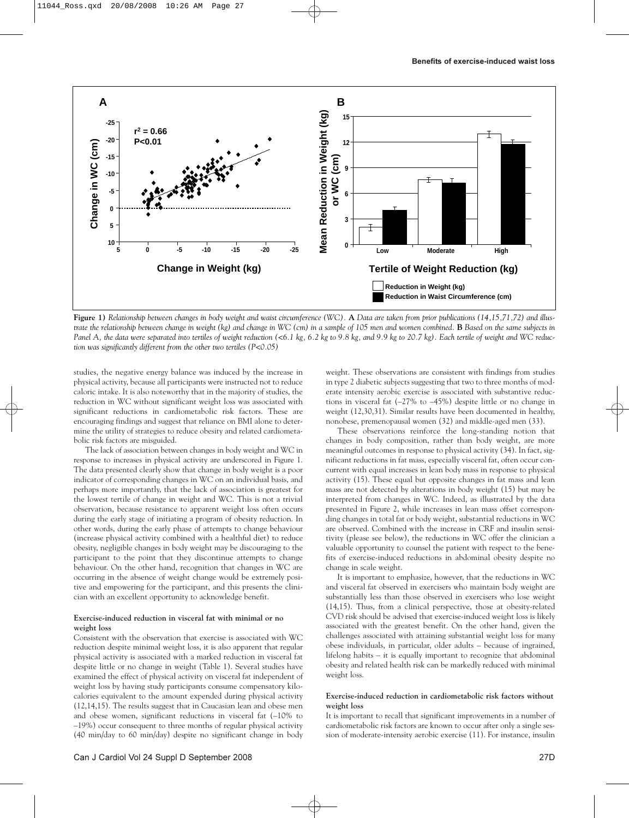

Figure 1) Relationship between changes in body weight and waist circumference (WC). A Data are taken from prior publications (14,15,71,72) and illustrate the relationship between change in weight (kg) and change in WC (cm) in a sample of 105 men and women combined. B Based on the same subjects in Panel A, the data were separated into tertiles of weight reduction (<6.1 kg, 6.2 kg to 9.8 kg, and 9.9 kg to 20.7 kg). Each tertile of weight and WC reduction was significantly different from the other two tertiles (P<0.05)

studies, the negative energy balance was induced by the increase in physical activity, because all participants were instructed not to reduce caloric intake. It is also noteworthy that in the majority of studies, the reduction in WC without significant weight loss was associated with significant reductions in cardiometabolic risk factors. These are encouraging findings and suggest that reliance on BMI alone to determine the utility of strategies to reduce obesity and related cardiometabolic risk factors are misguided.

The lack of association between changes in body weight and WC in response to increases in physical activity are underscored in Figure 1. The data presented clearly show that change in body weight is a poor indicator of corresponding changes in WC on an individual basis, and perhaps more importantly, that the lack of association is greatest for the lowest tertile of change in weight and WC. This is not a trivial observation, because resistance to apparent weight loss often occurs during the early stage of initiating a program of obesity reduction. In other words, during the early phase of attempts to change behaviour (increase physical activity combined with a healthful diet) to reduce obesity, negligible changes in body weight may be discouraging to the participant to the point that they discontinue attempts to change behaviour. On the other hand, recognition that changes in WC are occurring in the absence of weight change would be extremely positive and empowering for the participant, and this presents the clinician with an excellent opportunity to acknowledge benefit.

#### Exercise-induced reduction in visceral fat with minimal or no weight loss

Consistent with the observation that exercise is associated with WC reduction despite minimal weight loss, it is also apparent that regular physical activity is associated with a marked reduction in visceral fat despite little or no change in weight (Table 1). Several studies have examined the effect of physical activity on visceral fat independent of weight loss by having study participants consume compensatory kilocalories equivalent to the amount expended during physical activity (12,14,15). The results suggest that in Caucasian lean and obese men and obese women, significant reductions in visceral fat (–10% to –19%) occur consequent to three months of regular physical activity (40 min/day to 60 min/day) despite no significant change in body

weight. These observations are consistent with findings from studies in type 2 diabetic subjects suggesting that two to three months of moderate intensity aerobic exercise is associated with substantive reductions in visceral fat (–27% to –45%) despite little or no change in weight (12,30,31). Similar results have been documented in healthy, nonobese, premenopausal women (32) and middle-aged men (33).

These observations reinforce the long-standing notion that changes in body composition, rather than body weight, are more meaningful outcomes in response to physical activity (34). In fact, significant reductions in fat mass, especially visceral fat, often occur concurrent with equal increases in lean body mass in response to physical activity (15). These equal but opposite changes in fat mass and lean mass are not detected by alterations in body weight (15) but may be interpreted from changes in WC. Indeed, as illustrated by the data presented in Figure 2, while increases in lean mass offset corresponding changes in total fat or body weight, substantial reductions in WC are observed. Combined with the increase in CRF and insulin sensitivity (please see below), the reductions in WC offer the clinician a valuable opportunity to counsel the patient with respect to the benefits of exercise-induced reductions in abdominal obesity despite no change in scale weight.

It is important to emphasize, however, that the reductions in WC and visceral fat observed in exercisers who maintain body weight are substantially less than those observed in exercisers who lose weight (14,15). Thus, from a clinical perspective, those at obesity-related CVD risk should be advised that exercise-induced weight loss is likely associated with the greatest benefit. On the other hand, given the challenges associated with attaining substantial weight loss for many obese individuals, in particular, older adults – because of ingrained, lifelong habits – it is equally important to recognize that abdominal obesity and related health risk can be markedly reduced with minimal weight loss.

#### Exercise-induced reduction in cardiometabolic risk factors without weight loss

It is important to recall that significant improvements in a number of cardiometabolic risk factors are known to occur after only a single session of moderate-intensity aerobic exercise (11). For instance, insulin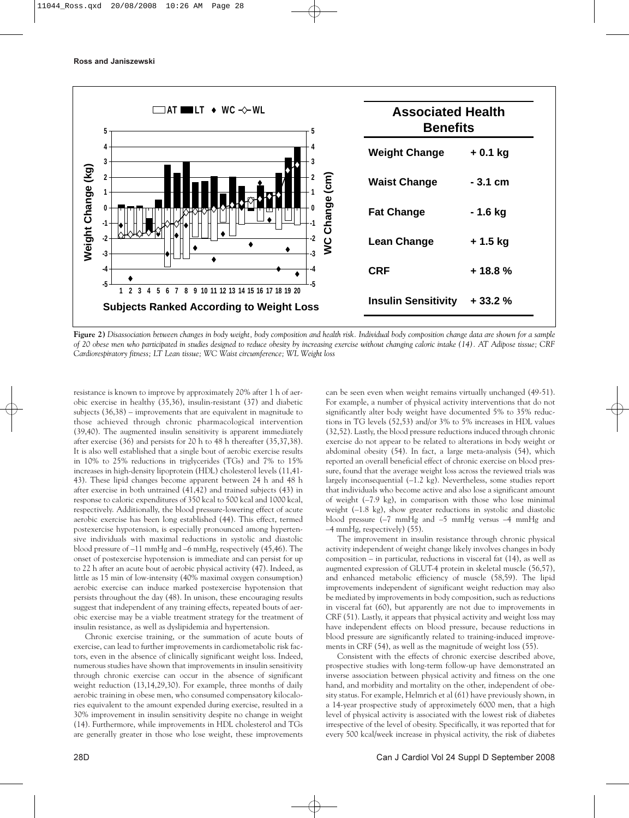

Figure 2) Disassociation between changes in body weight, body composition and health risk. Individual body composition change data are shown for a sample of 20 obese men who participated in studies designed to reduce obesity by increasing exercise without changing caloric intake (14). AT Adipose tissue; CRF Cardiorespiratory fitness; LT Lean tissue; WC Waist circumference; WL Weight loss

resistance is known to improve by approximately 20% after 1 h of aerobic exercise in healthy (35,36), insulin-resistant (37) and diabetic subjects (36,38) – improvements that are equivalent in magnitude to those achieved through chronic pharmacological intervention (39,40). The augmented insulin sensitivity is apparent immediately after exercise (36) and persists for 20 h to 48 h thereafter (35,37,38). It is also well established that a single bout of aerobic exercise results in 10% to 25% reductions in triglycerides (TGs) and 7% to 15% increases in high-density lipoprotein (HDL) cholesterol levels (11,41- 43). These lipid changes become apparent between 24 h and 48 h after exercise in both untrained (41,42) and trained subjects (43) in response to caloric expenditures of 350 kcal to 500 kcal and 1000 kcal, respectively. Additionally, the blood pressure-lowering effect of acute aerobic exercise has been long established (44). This effect, termed postexercise hypotension, is especially pronounced among hypertensive individuals with maximal reductions in systolic and diastolic blood pressure of –11 mmHg and –6 mmHg, respectively (45,46). The onset of postexercise hypotension is immediate and can persist for up to 22 h after an acute bout of aerobic physical activity (47). Indeed, as little as 15 min of low-intensity (40% maximal oxygen consumption) aerobic exercise can induce marked postexercise hypotension that persists throughout the day (48). In unison, these encouraging results suggest that independent of any training effects, repeated bouts of aerobic exercise may be a viable treatment strategy for the treatment of insulin resistance, as well as dyslipidemia and hypertension.

Chronic exercise training, or the summation of acute bouts of exercise, can lead to further improvements in cardiometabolic risk factors, even in the absence of clinically significant weight loss. Indeed, numerous studies have shown that improvements in insulin sensitivity through chronic exercise can occur in the absence of significant weight reduction (13,14,29,30). For example, three months of daily aerobic training in obese men, who consumed compensatory kilocalories equivalent to the amount expended during exercise, resulted in a 30% improvement in insulin sensitivity despite no change in weight (14). Furthermore, while improvements in HDL cholesterol and TGs are generally greater in those who lose weight, these improvements

can be seen even when weight remains virtually unchanged (49-51). For example, a number of physical activity interventions that do not significantly alter body weight have documented 5% to 35% reductions in TG levels (52,53) and/or 3% to 5% increases in HDL values (32,52). Lastly, the blood pressure reductions induced through chronic exercise do not appear to be related to alterations in body weight or abdominal obesity (54). In fact, a large meta-analysis (54), which reported an overall beneficial effect of chronic exercise on blood pressure, found that the average weight loss across the reviewed trials was largely inconsequential (–1.2 kg). Nevertheless, some studies report that individuals who become active and also lose a significant amount of weight (–7.9 kg), in comparison with those who lose minimal weight (–1.8 kg), show greater reductions in systolic and diastolic blood pressure (–7 mmHg and –5 mmHg versus –4 mmHg and –4 mmHg, respectively) (55).

The improvement in insulin resistance through chronic physical activity independent of weight change likely involves changes in body composition – in particular, reductions in visceral fat (14), as well as augmented expression of GLUT-4 protein in skeletal muscle (56,57), and enhanced metabolic efficiency of muscle (58,59). The lipid improvements independent of significant weight reduction may also be mediated by improvements in body composition, such as reductions in visceral fat (60), but apparently are not due to improvements in CRF (51). Lastly, it appears that physical activity and weight loss may have independent effects on blood pressure, because reductions in blood pressure are significantly related to training-induced improvements in CRF (54), as well as the magnitude of weight loss (55).

Consistent with the effects of chronic exercise described above, prospective studies with long-term follow-up have demonstrated an inverse association between physical activity and fitness on the one hand, and morbidity and mortality on the other, independent of obesity status. For example, Helmrich et al (61) have previously shown, in a 14-year prospective study of approximetely 6000 men, that a high level of physical activity is associated with the lowest risk of diabetes irrespective of the level of obesity. Specifically, it was reported that for every 500 kcal/week increase in physical activity, the risk of diabetes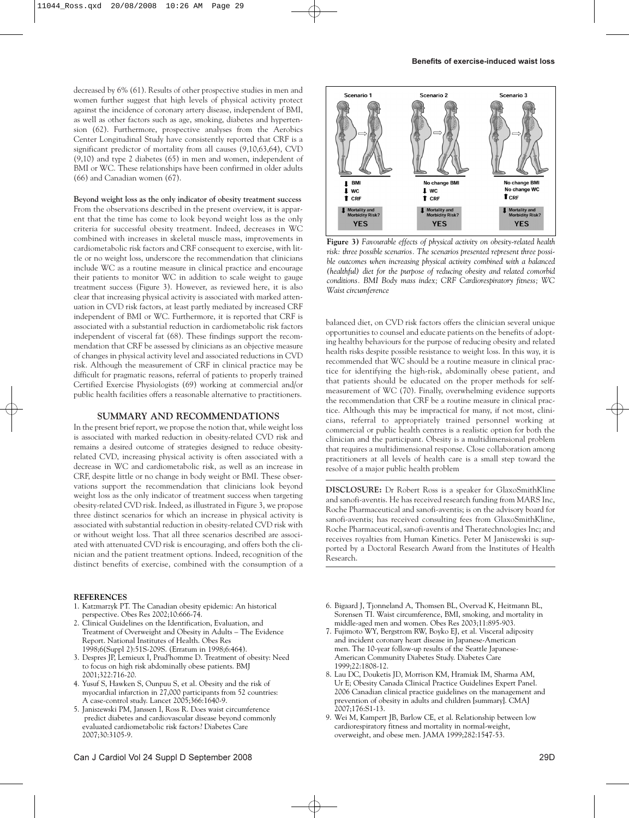decreased by 6% (61). Results of other prospective studies in men and women further suggest that high levels of physical activity protect against the incidence of coronary artery disease, independent of BMI, as well as other factors such as age, smoking, diabetes and hypertension (62). Furthermore, prospective analyses from the Aerobics Center Longitudinal Study have consistently reported that CRF is a significant predictor of mortality from all causes (9,10,63,64), CVD (9,10) and type 2 diabetes (65) in men and women, independent of BMI or WC. These relationships have been confirmed in older adults (66) and Canadian women (67).

Beyond weight loss as the only indicator of obesity treatment success From the observations described in the present overview, it is apparent that the time has come to look beyond weight loss as the only criteria for successful obesity treatment. Indeed, decreases in WC combined with increases in skeletal muscle mass, improvements in cardiometabolic risk factors and CRF consequent to exercise, with little or no weight loss, underscore the recommendation that clinicians include WC as a routine measure in clinical practice and encourage their patients to monitor WC in addition to scale weight to gauge treatment success (Figure 3). However, as reviewed here, it is also clear that increasing physical activity is associated with marked attenuation in CVD risk factors, at least partly mediated by increased CRF independent of BMI or WC. Furthermore, it is reported that CRF is associated with a substantial reduction in cardiometabolic risk factors independent of visceral fat (68). These findings support the recommendation that CRF be assessed by clinicians as an objective measure of changes in physical activity level and associated reductions in CVD risk. Although the measurement of CRF in clinical practice may be difficult for pragmatic reasons, referral of patients to properly trained Certified Exercise Physiologists (69) working at commercial and/or public health facilities offers a reasonable alternative to practitioners.

#### SUMMARY AND RECOMMENDATIONS

In the present brief report, we propose the notion that, while weight loss is associated with marked reduction in obesity-related CVD risk and remains a desired outcome of strategies designed to reduce obesityrelated CVD, increasing physical activity is often associated with a decrease in WC and cardiometabolic risk, as well as an increase in CRF, despite little or no change in body weight or BMI. These observations support the recommendation that clinicians look beyond weight loss as the only indicator of treatment success when targeting obesity-related CVD risk. Indeed, as illustrated in Figure 3, we propose three distinct scenarios for which an increase in physical activity is associated with substantial reduction in obesity-related CVD risk with or without weight loss. That all three scenarios described are associated with attenuated CVD risk is encouraging, and offers both the clinician and the patient treatment options. Indeed, recognition of the distinct benefits of exercise, combined with the consumption of a

#### REFERENCES

- 1. Katzmarzyk PT. The Canadian obesity epidemic: An historical perspective. Obes Res 2002;10:666-74.
- 2. Clinical Guidelines on the Identification, Evaluation, and Treatment of Overweight and Obesity in Adults – The Evidence Report. National Institutes of Health. Obes Res 1998;6(Suppl 2):51S-209S. (Erratum in 1998;6:464).
- 3. Despres JP, Lemieux I, Prud'homme D. Treatment of obesity: Need to focus on high risk abdominally obese patients. BMJ 2001;322:716-20.
- 4. Yusuf S, Hawken S, Ounpuu S, et al. Obesity and the risk of myocardial infarction in 27,000 participants from 52 countries: A case-control study. Lancet 2005;366:1640-9.
- 5. Janiszewski PM, Janssen I, Ross R. Does waist circumference predict diabetes and cardiovascular disease beyond commonly evaluated cardiometabolic risk factors? Diabetes Care 2007;30:3105-9.



Figure 3) Favourable effects of physical activity on obesity-related health risk: three possible scenarios. The scenarios presented represent three possible outcomes when increasing physical activity combined with a balanced (healthful) diet for the purpose of reducing obesity and related comorbid conditions. BMI Body mass index; CRF Cardiorespiratory fitness; WC Waist circumference

balanced diet, on CVD risk factors offers the clinician several unique opportunities to counsel and educate patients on the benefits of adopting healthy behaviours for the purpose of reducing obesity and related health risks despite possible resistance to weight loss. In this way, it is recommended that WC should be a routine measure in clinical practice for identifying the high-risk, abdominally obese patient, and that patients should be educated on the proper methods for selfmeasurement of WC (70). Finally, overwhelming evidence supports the recommendation that CRF be a routine measure in clinical practice. Although this may be impractical for many, if not most, clinicians, referral to appropriately trained personnel working at commercial or public health centres is a realistic option for both the clinician and the participant. Obesity is a multidimensional problem that requires a multidimensional response. Close collaboration among practitioners at all levels of health care is a small step toward the resolve of a major public health problem

DISCLOSURE: Dr Robert Ross is a speaker for GlaxoSmithKline and sanofi-aventis. He has received research funding from MARS Inc, Roche Pharmaceutical and sanofi-aventis; is on the advisory board for sanofi-aventis; has received consulting fees from GlaxoSmithKline, Roche Pharmaceutical, sanofi-aventis and Theratechnologies Inc; and receives royalties from Human Kinetics. Peter M Janiszewski is supported by a Doctoral Research Award from the Institutes of Health Research.

- 6. Bigaard J, Tjonneland A, Thomsen BL, Overvad K, Heitmann BL, Sorensen TI. Waist circumference, BMI, smoking, and mortality in middle-aged men and women. Obes Res 2003;11:895-903.
- 7. Fujimoto WY, Bergstrom RW, Boyko EJ, et al. Visceral adiposity and incident coronary heart disease in Japanese-American men. The 10-year follow-up results of the Seattle Japanese-American Community Diabetes Study. Diabetes Care 1999;22:1808-12.
- 8. Lau DC, Douketis JD, Morrison KM, Hramiak IM, Sharma AM, Ur E; Obesity Canada Clinical Practice Guidelines Expert Panel. 2006 Canadian clinical practice guidelines on the management and prevention of obesity in adults and children [summary]. CMAJ 2007;176:S1-13.
- 9. Wei M, Kampert JB, Barlow CE, et al. Relationship between low cardiorespiratory fitness and mortality in normal-weight, overweight, and obese men. JAMA 1999;282:1547-53.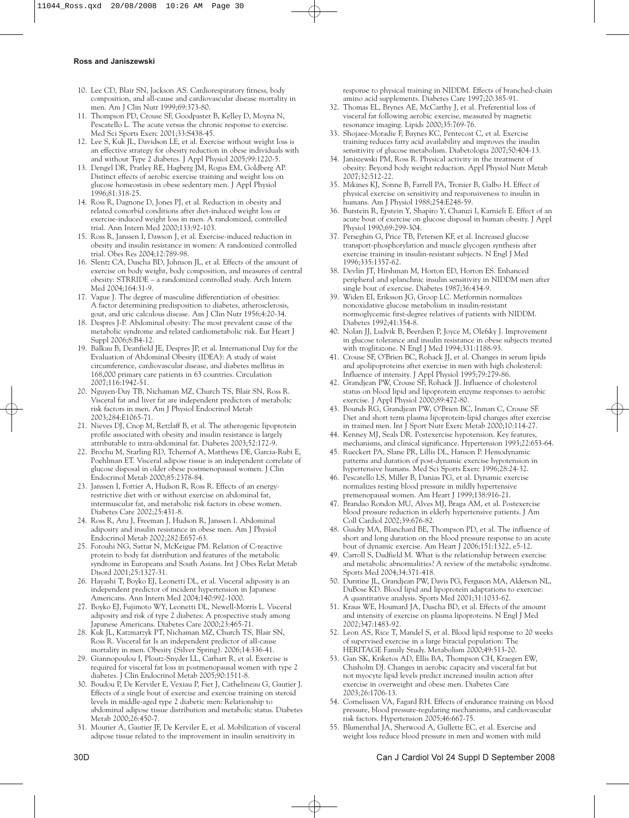- 10. Lee CD, Blair SN, Jackson AS. Cardiorespiratory fitness, body composition, and all-cause and cardiovascular disease mortality in men. Am J Clin Nutr 1999;69:373-80.
- 11. Thompson PD, Crouse SF, Goodpaster B, Kelley D, Moyna N, Pescatello L. The acute versus the chronic response to exercise. Med Sci Sports Exerc 2001;33:S438-45.
- 12. Lee S, Kuk JL, Davidson LE, et al. Exercise without weight loss is an effective strategy for obesity reduction in obese individuals with and without Type 2 diabetes. J Appl Physiol 2005;99:1220-5.
- 13. Dengel DR, Pratley RE, Hagberg JM, Rogus EM, Goldberg AP. Distinct effects of aerobic exercise training and weight loss on glucose homeostasis in obese sedentary men. J Appl Physiol 1996;81:318-25.
- 14. Ross R, Dagnone D, Jones PJ, et al. Reduction in obesity and related comorbid conditions after diet-induced weight loss or exercise-induced weight loss in men. A randomized, controlled trial. Ann Intern Med 2000;133:92-103.
- 15. Ross R, Janssen I, Dawson J, et al. Exercise-induced reduction in obesity and insulin resistance in women: A randomized controlled trial. Obes Res 2004;12:789-98.
- 16. Slentz CA, Duscha BD, Johnson JL, et al. Effects of the amount of exercise on body weight, body composition, and measures of central obesity: STRRIDE – a randomized controlled study. Arch Intern Med 2004;164:31-9.
- 17. Vague J. The degree of masculine differentiation of obesities: A factor determining predisposition to diabetes, atherosclerosis, gout, and uric calculous disease. Am J Clin Nutr 1956;4:20-34.
- 18. Despres J-P. Abdominal obesity: The most prevalent cause of the metabolic syndrome and related cardiometabolic risk. Eur Heart J Suppl 2006;8:B4-12.
- 19. Balkau B, Deanfield JE, Despres JP, et al. International Day for the Evaluation of Abdominal Obesity (IDEA): A study of waist circumference, cardiovascular disease, and diabetes mellitus in 168,000 primary care patients in 63 countries. Circulation 2007;116:1942-51.
- 20. Nguyen-Duy TB, Nichaman MZ, Church TS, Blair SN, Ross R. Visceral fat and liver fat are independent predictors of metabolic risk factors in men. Am J Physiol Endocrinol Metab 2003;284:E1065-71.
- 21. Nieves DJ, Cnop M, Retzlaff B, et al. The atherogenic lipoprotein profile associated with obesity and insulin resistance is largely attributable to intra-abdominal fat. Diabetes 2003;52:172-9.
- 22. Brochu M, Starling RD, Tchernof A, Matthews DE, Garcia-Rubi E, Poehlman ET. Visceral adipose tissue is an independent correlate of glucose disposal in older obese postmenopausal women. J Clin Endocrinol Metab 2000;85:2378-84.
- 23. Janssen I, Fortier A, Hudson R, Ross R. Effects of an energyrestrictive diet with or without exercise on abdominal fat, intermuscular fat, and metabolic risk factors in obese women. Diabetes Care 2002;25:431-8.
- 24. Ross R, Aru J, Freeman J, Hudson R, Janssen I. Abdominal adiposity and insulin resistance in obese men. Am J Physiol Endocrinol Metab 2002;282:E657-63.
- 25. Forouhi NG, Sattar N, McKeigue PM. Relation of C-reactive protein to body fat distribution and features of the metabolic syndrome in Europeans and South Asians. Int J Obes Relat Metab Disord 2001;25:1327-31.
- 26. Hayashi T, Boyko EJ, Leonetti DL, et al. Visceral adiposity is an independent predictor of incident hypertension in Japanese Americans. Ann Intern Med 2004;140:992-1000.
- 27. Boyko EJ, Fujimoto WY, Leonetti DL, Newell-Morris L. Visceral adiposity and risk of type 2 diabetes: A prospective study among Japanese Americans. Diabetes Care 2000;23:465-71.
- 28. Kuk JL, Katzmarzyk PT, Nichaman MZ, Church TS, Blair SN, Ross R. Visceral fat Is an independent predictor of all-cause mortality in men. Obesity (Silver Spring). 2006;14:336-41.
- 29. Giannopoulou I, Ploutz-Snyder LL, Carhart R, et al. Exercise is required for visceral fat loss in postmenopausal women with type 2 diabetes. J Clin Endocrinol Metab 2005;90:1511-8.
- 30. Boudou P, De Kerviler E, Vexiau P, Fiet J, Cathelineau G, Gautier J. Effects of a single bout of exercise and exercise training on steroid levels in middle-aged type 2 diabetic men: Relationship to abdominal adipose tissue distribution and metabolic status. Diabetes Metab 2000;26:450-7.
- 31. Mourier A, Gautier JF, De Kerviler E, et al. Mobilization of visceral adipose tissue related to the improvement in insulin sensitivity in

response to physical training in NIDDM. Effects of branched-chain amino acid supplements. Diabetes Care 1997;20:385-91.

- 32. Thomas EL, Brynes AE, McCarthy J, et al. Preferential loss of visceral fat following aerobic exercise, measured by magnetic resonance imaging. Lipids 2000;35:769-76.
- 33. Shojaee-Moradie F, Baynes KC, Pentecost C, et al. Exercise training reduces fatty acid availability and improves the insulin sensitivity of glucose metabolism. Diabetologia 2007;50:404-13.
- 34. Janiszewski PM, Ross R. Physical activity in the treatment of obesity: Beyond body weight reduction. Appl Physiol Nutr Metab 2007;32:512-22.
- 35. Mikines KJ, Sonne B, Farrell PA, Tronier B, Galbo H. Effect of physical exercise on sensitivity and responsiveness to insulin in humans. Am J Physiol 1988;254:E248-59.
- 36. Burstein R, Epstein Y, Shapiro Y, Charuzi I, Karnieli E. Effect of an acute bout of exercise on glucose disposal in human obesity. J Appl Physiol 1990;69:299-304.
- 37. Perseghin G, Price TB, Petersen KF, et al. Increased glucose transport-phosphorylation and muscle glycogen synthesis after exercise training in insulin-resistant subjects. N Engl J Med 1996;335:1357-62.
- 38. Devlin JT, Hirshman M, Horton ED, Horton ES. Enhanced peripheral and splanchnic insulin sensitivity in NIDDM men after single bout of exercise. Diabetes 1987;36:434-9.
- 39. Widen EI, Eriksson JG, Groop LC. Metformin normalizes nonoxidative glucose metabolism in insulin-resistant normoglycemic first-degree relatives of patients with NIDDM. Diabetes 1992;41:354-8.
- 40. Nolan JJ, Ludvik B, Beerdsen P, Joyce M, Olefsky J. Improvement in glucose tolerance and insulin resistance in obese subjects treated with troglitazone. N Engl J Med 1994;331:1188-93.
- 41. Crouse SF, O'Brien BC, Rohack JJ, et al. Changes in serum lipids and apolipoproteins after exercise in men with high cholesterol: Influence of intensity. J Appl Physiol 1995;79:279-86.
- 42. Grandjean PW, Crouse SF, Rohack JJ. Influence of cholesterol status on blood lipid and lipoprotein enzyme responses to aerobic exercise. J Appl Physiol 2000;89:472-80.
- 43. Bounds RG, Grandjean PW, O'Brien BC, Inman C, Crouse SF. Diet and short term plasma lipoprotein-lipid changes after exercise in trained men. Int J Sport Nutr Exerc Metab 2000;10:114-27.
- 44. Kenney MJ, Seals DR. Postexercise hypotension. Key features, mechanisms, and clinical significance. Hypertension 1993;22:653-64.
- 45. Rueckert PA, Slane PR, Lillis DL, Hanson P. Hemodynamic patterns and duration of post-dynamic exercise hypotension in hypertensive humans. Med Sci Sports Exerc 1996;28:24-32.
- 46. Pescatello LS, Miller B, Danias PG, et al. Dynamic exercise normalizes resting blood pressure in mildly hypertensive premenopausal women. Am Heart J 1999;138:916-21.
- 47. Brandao Rondon MU, Alves MJ, Braga AM, et al. Postexercise blood pressure reduction in elderly hypertensive patients. J Am Coll Cardiol 2002;39:676-82.
- 48. Guidry MA, Blanchard BE, Thompson PD, et al. The influence of short and long duration on the blood pressure response to an acute bout of dynamic exercise. Am Heart J 2006;151:1322, e5-12.
- 49. Carroll S, Dudfield M. What is the relationship between exercise and metabolic abnormalities? A review of the metabolic syndrome. Sports Med 2004;34:371-418.
- 50. Durstine JL, Grandjean PW, Davis PG, Ferguson MA, Alderson NL, DuBose KD. Blood lipid and lipoprotein adaptations to exercise: A quantitative analysis. Sports Med 2001;31:1033-62.
- 51. Kraus WE, Houmard JA, Duscha BD, et al. Effects of the amount and intensity of exercise on plasma lipoproteins. N Engl J Med 2002;347:1483-92.
- 52. Leon AS, Rice T, Mandel S, et al. Blood lipid response to 20 weeks of supervised exercise in a large biracial population: The HERITAGE Family Study. Metabolism 2000;49:513-20.
- 53. Gan SK, Kriketos AD, Ellis BA, Thompson CH, Kraegen EW, Chisholm DJ. Changes in aerobic capacity and visceral fat but not myocyte lipid levels predict increased insulin action after exercise in overweight and obese men. Diabetes Care 2003;26:1706-13.
- 54. Cornelissen VA, Fagard RH. Effects of endurance training on blood pressure, blood pressure-regulating mechanisms, and cardiovascular risk factors. Hypertension 2005;46:667-75.
- 55. Blumenthal JA, Sherwood A, Gullette EC, et al. Exercise and weight loss reduce blood pressure in men and women with mild